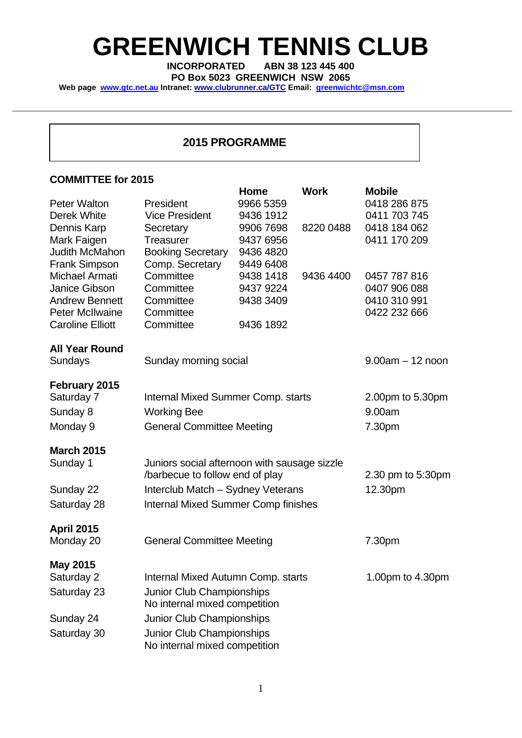# **GREENWICH TENNIS CLUB**

**INCORPORATED ABN 38 123 445 400** 

\_\_\_\_\_\_\_\_\_\_\_\_\_\_\_\_\_\_\_\_\_\_\_\_\_\_\_\_\_\_\_\_\_\_\_\_\_\_\_\_\_\_\_\_\_\_\_\_\_\_\_\_\_\_\_\_\_\_\_\_\_\_\_\_\_\_\_\_\_\_\_\_\_\_\_\_\_\_\_\_\_\_\_\_\_\_\_\_\_\_\_\_\_\_\_\_\_\_\_\_\_\_\_\_\_\_\_\_\_\_\_\_\_\_

**PO Box 5023 GREENWICH NSW 2065**

Web page www.gtc.net.au Intranet: www.clubrunner.ca/GTC Email: greenwichtc@msn.com

### **2015 PROGRAMME**

#### **COMMITTEE for 2015**

|                         |                                              | Home      | <b>Work</b> | <b>Mobile</b>      |  |
|-------------------------|----------------------------------------------|-----------|-------------|--------------------|--|
| <b>Peter Walton</b>     | President                                    | 9966 5359 |             | 0418 286 875       |  |
| Derek White             | <b>Vice President</b>                        | 9436 1912 |             | 0411 703 745       |  |
| Dennis Karp             | Secretary                                    | 9906 7698 | 8220 0488   | 0418 184 062       |  |
| Mark Faigen             | <b>Treasurer</b>                             | 9437 6956 |             | 0411 170 209       |  |
| <b>Judith McMahon</b>   | <b>Booking Secretary</b>                     | 9436 4820 |             |                    |  |
| <b>Frank Simpson</b>    | Comp. Secretary                              | 9449 6408 |             |                    |  |
| Michael Armati          | Committee                                    | 9438 1418 | 9436 4400   | 0457 787 816       |  |
| <b>Janice Gibson</b>    | Committee                                    | 9437 9224 |             | 0407 906 088       |  |
| <b>Andrew Bennett</b>   | Committee                                    | 9438 3409 |             | 0410 310 991       |  |
| <b>Peter McIlwaine</b>  | Committee                                    |           |             | 0422 232 666       |  |
| <b>Caroline Elliott</b> | Committee                                    | 9436 1892 |             |                    |  |
| <b>All Year Round</b>   |                                              |           |             |                    |  |
| <b>Sundays</b>          | Sunday morning social                        |           |             | $9.00am - 12$ noon |  |
| February 2015           |                                              |           |             |                    |  |
| Saturday 7              | <b>Internal Mixed Summer Comp. starts</b>    |           |             | 2.00pm to 5.30pm   |  |
| Sunday 8                | <b>Working Bee</b>                           |           |             | 9.00am             |  |
|                         |                                              |           |             |                    |  |
| Monday 9                | <b>General Committee Meeting</b>             |           |             | 7.30pm             |  |
| <b>March 2015</b>       |                                              |           |             |                    |  |
| Sunday 1                | Juniors social afternoon with sausage sizzle |           |             |                    |  |
|                         | /barbecue to follow end of play              |           |             | 2.30 pm to 5:30pm  |  |
| Sunday 22               | Interclub Match - Sydney Veterans            |           |             | 12.30pm            |  |
| Saturday 28             | <b>Internal Mixed Summer Comp finishes</b>   |           |             |                    |  |
| <b>April 2015</b>       |                                              |           |             |                    |  |
| Monday 20               | <b>General Committee Meeting</b>             |           |             | 7.30pm             |  |
|                         |                                              |           |             |                    |  |
| <b>May 2015</b>         |                                              |           |             |                    |  |
| Saturday 2              | Internal Mixed Autumn Comp. starts           |           |             | 1.00pm to 4.30pm   |  |
| Saturday 23             | Junior Club Championships                    |           |             |                    |  |
|                         | No internal mixed competition                |           |             |                    |  |
| Sunday 24               | Junior Club Championships                    |           |             |                    |  |
| Saturday 30             | Junior Club Championships                    |           |             |                    |  |
|                         | No internal mixed competition                |           |             |                    |  |